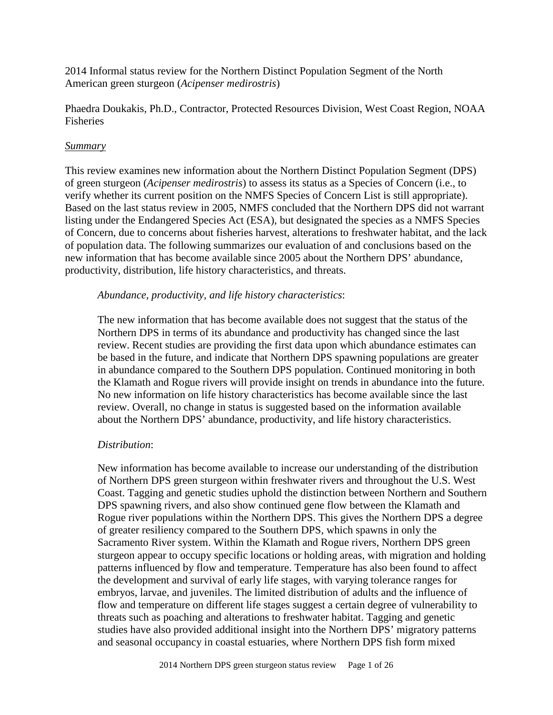2014 Informal status review for the Northern Distinct Population Segment of the North American green sturgeon (*Acipenser medirostris*)

Phaedra Doukakis, Ph.D., Contractor, Protected Resources Division, West Coast Region, NOAA Fisheries

### *Summary*

This review examines new information about the Northern Distinct Population Segment (DPS) of green sturgeon (*Acipenser medirostris*) to assess its status as a Species of Concern (i.e., to verify whether its current position on the NMFS Species of Concern List is still appropriate). Based on the last status review in 2005, NMFS concluded that the Northern DPS did not warrant listing under the Endangered Species Act (ESA), but designated the species as a NMFS Species of Concern, due to concerns about fisheries harvest, alterations to freshwater habitat, and the lack of population data. The following summarizes our evaluation of and conclusions based on the new information that has become available since 2005 about the Northern DPS' abundance, productivity, distribution, life history characteristics, and threats.

### *Abundance, productivity, and life history characteristics*:

The new information that has become available does not suggest that the status of the Northern DPS in terms of its abundance and productivity has changed since the last review. Recent studies are providing the first data upon which abundance estimates can be based in the future, and indicate that Northern DPS spawning populations are greater in abundance compared to the Southern DPS population. Continued monitoring in both the Klamath and Rogue rivers will provide insight on trends in abundance into the future. No new information on life history characteristics has become available since the last review. Overall, no change in status is suggested based on the information available about the Northern DPS' abundance, productivity, and life history characteristics.

## *Distribution*:

New information has become available to increase our understanding of the distribution of Northern DPS green sturgeon within freshwater rivers and throughout the U.S. West Coast. Tagging and genetic studies uphold the distinction between Northern and Southern DPS spawning rivers, and also show continued gene flow between the Klamath and Rogue river populations within the Northern DPS. This gives the Northern DPS a degree of greater resiliency compared to the Southern DPS, which spawns in only the Sacramento River system. Within the Klamath and Rogue rivers, Northern DPS green sturgeon appear to occupy specific locations or holding areas, with migration and holding patterns influenced by flow and temperature. Temperature has also been found to affect the development and survival of early life stages, with varying tolerance ranges for embryos, larvae, and juveniles. The limited distribution of adults and the influence of flow and temperature on different life stages suggest a certain degree of vulnerability to threats such as poaching and alterations to freshwater habitat. Tagging and genetic studies have also provided additional insight into the Northern DPS' migratory patterns and seasonal occupancy in coastal estuaries, where Northern DPS fish form mixed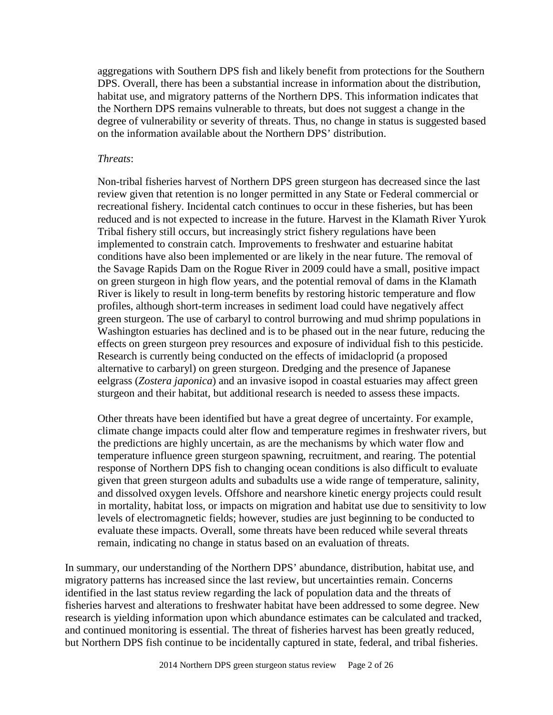aggregations with Southern DPS fish and likely benefit from protections for the Southern DPS. Overall, there has been a substantial increase in information about the distribution, habitat use, and migratory patterns of the Northern DPS. This information indicates that the Northern DPS remains vulnerable to threats, but does not suggest a change in the degree of vulnerability or severity of threats. Thus, no change in status is suggested based on the information available about the Northern DPS' distribution.

#### *Threats*:

Non-tribal fisheries harvest of Northern DPS green sturgeon has decreased since the last review given that retention is no longer permitted in any State or Federal commercial or recreational fishery. Incidental catch continues to occur in these fisheries, but has been reduced and is not expected to increase in the future. Harvest in the Klamath River Yurok Tribal fishery still occurs, but increasingly strict fishery regulations have been implemented to constrain catch. Improvements to freshwater and estuarine habitat conditions have also been implemented or are likely in the near future. The removal of the Savage Rapids Dam on the Rogue River in 2009 could have a small, positive impact on green sturgeon in high flow years, and the potential removal of dams in the Klamath River is likely to result in long-term benefits by restoring historic temperature and flow profiles, although short-term increases in sediment load could have negatively affect green sturgeon. The use of carbaryl to control burrowing and mud shrimp populations in Washington estuaries has declined and is to be phased out in the near future, reducing the effects on green sturgeon prey resources and exposure of individual fish to this pesticide. Research is currently being conducted on the effects of imidacloprid (a proposed alternative to carbaryl) on green sturgeon. Dredging and the presence of Japanese eelgrass (*Zostera japonica*) and an invasive isopod in coastal estuaries may affect green sturgeon and their habitat, but additional research is needed to assess these impacts.

Other threats have been identified but have a great degree of uncertainty. For example, climate change impacts could alter flow and temperature regimes in freshwater rivers, but the predictions are highly uncertain, as are the mechanisms by which water flow and temperature influence green sturgeon spawning, recruitment, and rearing. The potential response of Northern DPS fish to changing ocean conditions is also difficult to evaluate given that green sturgeon adults and subadults use a wide range of temperature, salinity, and dissolved oxygen levels. Offshore and nearshore kinetic energy projects could result in mortality, habitat loss, or impacts on migration and habitat use due to sensitivity to low levels of electromagnetic fields; however, studies are just beginning to be conducted to evaluate these impacts. Overall, some threats have been reduced while several threats remain, indicating no change in status based on an evaluation of threats.

In summary, our understanding of the Northern DPS' abundance, distribution, habitat use, and migratory patterns has increased since the last review, but uncertainties remain. Concerns identified in the last status review regarding the lack of population data and the threats of fisheries harvest and alterations to freshwater habitat have been addressed to some degree. New research is yielding information upon which abundance estimates can be calculated and tracked, and continued monitoring is essential. The threat of fisheries harvest has been greatly reduced, but Northern DPS fish continue to be incidentally captured in state, federal, and tribal fisheries.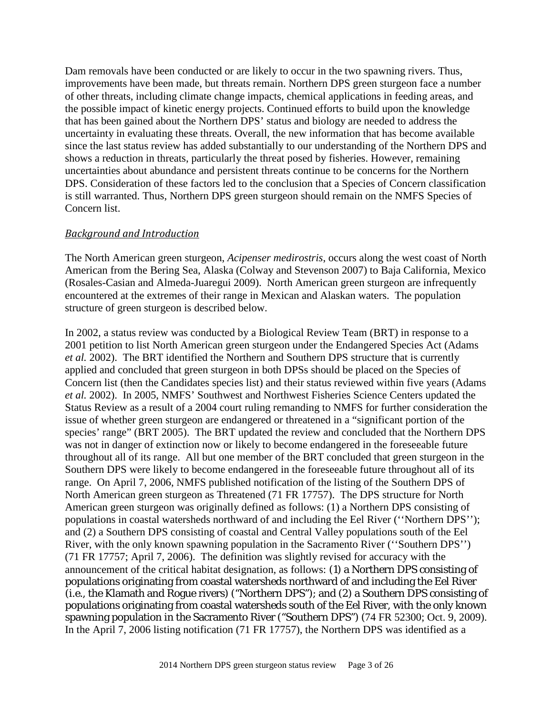Dam removals have been conducted or are likely to occur in the two spawning rivers. Thus, improvements have been made, but threats remain. Northern DPS green sturgeon face a number of other threats, including climate change impacts, chemical applications in feeding areas, and the possible impact of kinetic energy projects. Continued efforts to build upon the knowledge that has been gained about the Northern DPS' status and biology are needed to address the uncertainty in evaluating these threats. Overall, the new information that has become available since the last status review has added substantially to our understanding of the Northern DPS and shows a reduction in threats, particularly the threat posed by fisheries. However, remaining uncertainties about abundance and persistent threats continue to be concerns for the Northern DPS. Consideration of these factors led to the conclusion that a Species of Concern classification is still warranted. Thus, Northern DPS green sturgeon should remain on the NMFS Species of Concern list.

### *Background and Introduction*

The North American green sturgeon, *Acipenser medirostris*, occurs along the west coast of North American from the Bering Sea, Alaska (Colway and Stevenson 2007) to Baja California, Mexico (Rosales-Casian and Almeda-Juaregui 2009). North American green sturgeon are infrequently encountered at the extremes of their range in Mexican and Alaskan waters. The population structure of green sturgeon is described below.

In 2002, a status review was conducted by a Biological Review Team (BRT) in response to a 2001 petition to list North American green sturgeon under the Endangered Species Act (Adams *et al.* 2002). The BRT identified the Northern and Southern DPS structure that is currently applied and concluded that green sturgeon in both DPSs should be placed on the Species of Concern list (then the Candidates species list) and their status reviewed within five years (Adams *et al.* 2002). In 2005, NMFS' Southwest and Northwest Fisheries Science Centers updated the Status Review as a result of a 2004 court ruling remanding to NMFS for further consideration the issue of whether green sturgeon are endangered or threatened in a "significant portion of the species' range" (BRT 2005). The BRT updated the review and concluded that the Northern DPS was not in danger of extinction now or likely to become endangered in the foreseeable future throughout all of its range. All but one member of the BRT concluded that green sturgeon in the Southern DPS were likely to become endangered in the foreseeable future throughout all of its range. On April 7, 2006, NMFS published notification of the listing of the Southern DPS of North American green sturgeon as Threatened (71 FR 17757). The DPS structure for North American green sturgeon was originally defined as follows: (1) a Northern DPS consisting of populations in coastal watersheds northward of and including the Eel River (''Northern DPS''); and (2) a Southern DPS consisting of coastal and Central Valley populations south of the Eel River, with the only known spawning population in the Sacramento River (''Southern DPS'') (71 FR 17757; April 7, 2006). The definition was slightly revised for accuracy with the announcement of the critical habitat designation, as follows: (1) a Northern DPS consisting of populations originating from coastal watersheds northward of and including the Eel River (*i.e.,* the Klamath and Rogue rivers) ("Northern DPS"); and (2) a Southern DPS consisting of populations originating from coastal watersheds south of the Eel River, with the only known spawning population in the Sacramento River ("Southern DPS") (74 FR 52300; Oct. 9, 2009). In the April 7, 2006 listing notification (71 FR 17757), the Northern DPS was identified as a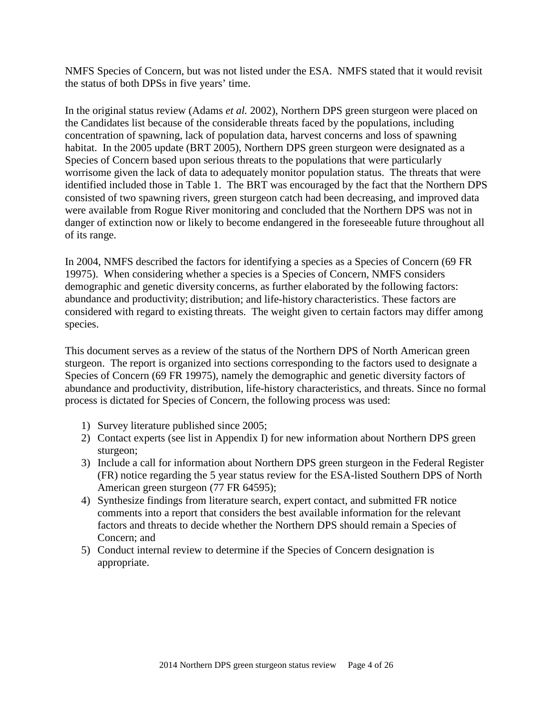NMFS Species of Concern, but was not listed under the ESA. NMFS stated that it would revisit the status of both DPSs in five years' time.

In the original status review (Adams *et al.* 2002), Northern DPS green sturgeon were placed on the Candidates list because of the considerable threats faced by the populations, including concentration of spawning, lack of population data, harvest concerns and loss of spawning habitat. In the 2005 update (BRT 2005), Northern DPS green sturgeon were designated as a Species of Concern based upon serious threats to the populations that were particularly worrisome given the lack of data to adequately monitor population status. The threats that were identified included those in Table 1. The BRT was encouraged by the fact that the Northern DPS consisted of two spawning rivers, green sturgeon catch had been decreasing, and improved data were available from Rogue River monitoring and concluded that the Northern DPS was not in danger of extinction now or likely to become endangered in the foreseeable future throughout all of its range.

In 2004, NMFS described the factors for identifying a species as a Species of Concern (69 FR 19975). When considering whether a species is a Species of Concern, NMFS considers demographic and genetic diversity concerns, as further elaborated by the following factors: abundance and productivity; distribution; and life-history characteristics. These factors are considered with regard to existing threats. The weight given to certain factors may differ among species.

This document serves as a review of the status of the Northern DPS of North American green sturgeon. The report is organized into sections corresponding to the factors used to designate a Species of Concern (69 FR 19975), namely the demographic and genetic diversity factors of abundance and productivity, distribution, life-history characteristics, and threats. Since no formal process is dictated for Species of Concern, the following process was used:

- 1) Survey literature published since 2005;
- 2) Contact experts (see list in Appendix I) for new information about Northern DPS green sturgeon;
- 3) Include a call for information about Northern DPS green sturgeon in the Federal Register (FR) notice regarding the 5 year status review for the ESA-listed Southern DPS of North American green sturgeon (77 FR 64595);
- 4) Synthesize findings from literature search, expert contact, and submitted FR notice comments into a report that considers the best available information for the relevant factors and threats to decide whether the Northern DPS should remain a Species of Concern; and
- 5) Conduct internal review to determine if the Species of Concern designation is appropriate.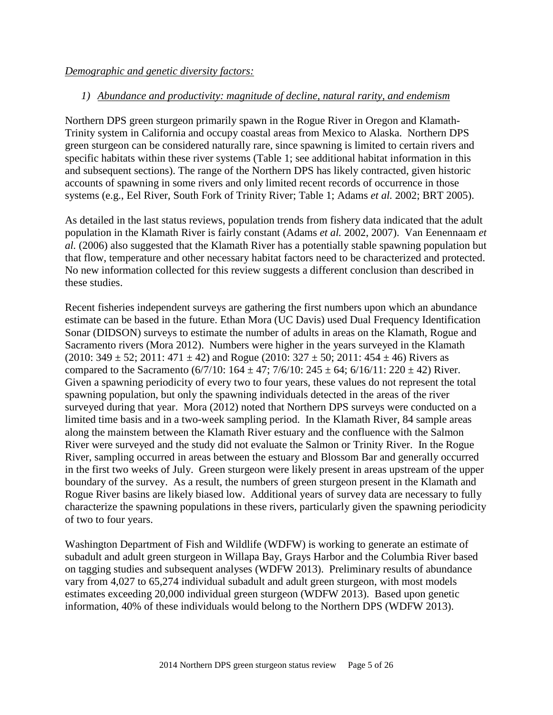### *Demographic and genetic diversity factors:*

### *1) Abundance and productivity: magnitude of decline, natural rarity, and endemism*

Northern DPS green sturgeon primarily spawn in the Rogue River in Oregon and Klamath-Trinity system in California and occupy coastal areas from Mexico to Alaska. Northern DPS green sturgeon can be considered naturally rare, since spawning is limited to certain rivers and specific habitats within these river systems (Table 1; see additional habitat information in this and subsequent sections). The range of the Northern DPS has likely contracted, given historic accounts of spawning in some rivers and only limited recent records of occurrence in those systems (e.g., Eel River, South Fork of Trinity River; Table 1; Adams *et al.* 2002; BRT 2005).

As detailed in the last status reviews, population trends from fishery data indicated that the adult population in the Klamath River is fairly constant (Adams *et al.* 2002, 2007). Van Eenennaam *et al.* (2006) also suggested that the Klamath River has a potentially stable spawning population but that flow, temperature and other necessary habitat factors need to be characterized and protected. No new information collected for this review suggests a different conclusion than described in these studies.

Recent fisheries independent surveys are gathering the first numbers upon which an abundance estimate can be based in the future. Ethan Mora (UC Davis) used Dual Frequency Identification Sonar (DIDSON) surveys to estimate the number of adults in areas on the Klamath, Rogue and Sacramento rivers (Mora 2012). Numbers were higher in the years surveyed in the Klamath (2010:  $349 \pm 52$ ; 2011:  $471 \pm 42$ ) and Rogue (2010:  $327 \pm 50$ ; 2011:  $454 \pm 46$ ) Rivers as compared to the Sacramento  $(6/7/10: 164 \pm 47; 7/6/10: 245 \pm 64; 6/16/11: 220 \pm 42)$  River. Given a spawning periodicity of every two to four years, these values do not represent the total spawning population, but only the spawning individuals detected in the areas of the river surveyed during that year. Mora (2012) noted that Northern DPS surveys were conducted on a limited time basis and in a two-week sampling period. In the Klamath River, 84 sample areas along the mainstem between the Klamath River estuary and the confluence with the Salmon River were surveyed and the study did not evaluate the Salmon or Trinity River. In the Rogue River, sampling occurred in areas between the estuary and Blossom Bar and generally occurred in the first two weeks of July. Green sturgeon were likely present in areas upstream of the upper boundary of the survey. As a result, the numbers of green sturgeon present in the Klamath and Rogue River basins are likely biased low. Additional years of survey data are necessary to fully characterize the spawning populations in these rivers, particularly given the spawning periodicity of two to four years.

Washington Department of Fish and Wildlife (WDFW) is working to generate an estimate of subadult and adult green sturgeon in Willapa Bay, Grays Harbor and the Columbia River based on tagging studies and subsequent analyses (WDFW 2013). Preliminary results of abundance vary from 4,027 to 65,274 individual subadult and adult green sturgeon, with most models estimates exceeding 20,000 individual green sturgeon (WDFW 2013). Based upon genetic information, 40% of these individuals would belong to the Northern DPS (WDFW 2013).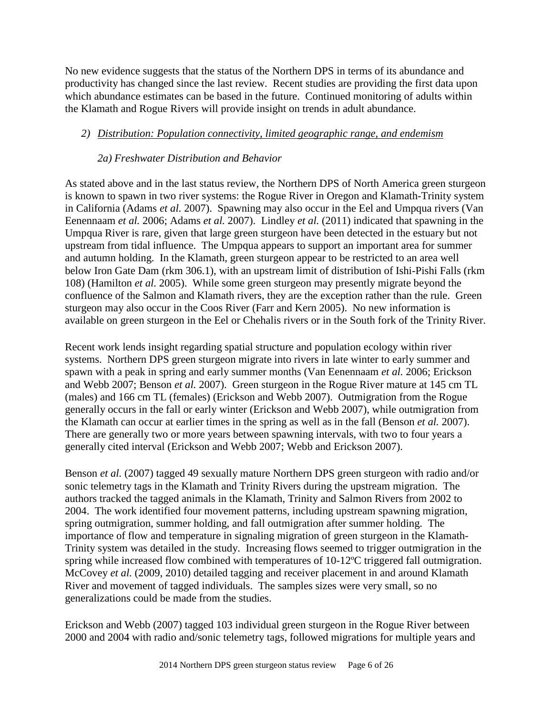No new evidence suggests that the status of the Northern DPS in terms of its abundance and productivity has changed since the last review. Recent studies are providing the first data upon which abundance estimates can be based in the future. Continued monitoring of adults within the Klamath and Rogue Rivers will provide insight on trends in adult abundance.

## *2) Distribution: Population connectivity, limited geographic range, and endemism*

### *2a) Freshwater Distribution and Behavior*

As stated above and in the last status review, the Northern DPS of North America green sturgeon is known to spawn in two river systems: the Rogue River in Oregon and Klamath-Trinity system in California (Adams *et al.* 2007). Spawning may also occur in the Eel and Umpqua rivers (Van Eenennaam *et al.* 2006; Adams *et al.* 2007). Lindley *et al.* (2011) indicated that spawning in the Umpqua River is rare, given that large green sturgeon have been detected in the estuary but not upstream from tidal influence. The Umpqua appears to support an important area for summer and autumn holding. In the Klamath, green sturgeon appear to be restricted to an area well below Iron Gate Dam (rkm 306.1), with an upstream limit of distribution of Ishi-Pishi Falls (rkm 108) (Hamilton *et al.* 2005). While some green sturgeon may presently migrate beyond the confluence of the Salmon and Klamath rivers, they are the exception rather than the rule. Green sturgeon may also occur in the Coos River (Farr and Kern 2005). No new information is available on green sturgeon in the Eel or Chehalis rivers or in the South fork of the Trinity River.

Recent work lends insight regarding spatial structure and population ecology within river systems. Northern DPS green sturgeon migrate into rivers in late winter to early summer and spawn with a peak in spring and early summer months (Van Eenennaam *et al.* 2006; Erickson and Webb 2007; Benson *et al.* 2007). Green sturgeon in the Rogue River mature at 145 cm TL (males) and 166 cm TL (females) (Erickson and Webb 2007). Outmigration from the Rogue generally occurs in the fall or early winter (Erickson and Webb 2007), while outmigration from the Klamath can occur at earlier times in the spring as well as in the fall (Benson *et al.* 2007). There are generally two or more years between spawning intervals, with two to four years a generally cited interval (Erickson and Webb 2007; Webb and Erickson 2007).

Benson *et al.* (2007) tagged 49 sexually mature Northern DPS green sturgeon with radio and/or sonic telemetry tags in the Klamath and Trinity Rivers during the upstream migration. The authors tracked the tagged animals in the Klamath, Trinity and Salmon Rivers from 2002 to 2004. The work identified four movement patterns, including upstream spawning migration, spring outmigration, summer holding, and fall outmigration after summer holding. The importance of flow and temperature in signaling migration of green sturgeon in the Klamath-Trinity system was detailed in the study. Increasing flows seemed to trigger outmigration in the spring while increased flow combined with temperatures of 10-12ºC triggered fall outmigration. McCovey *et al.* (2009, 2010) detailed tagging and receiver placement in and around Klamath River and movement of tagged individuals. The samples sizes were very small, so no generalizations could be made from the studies.

Erickson and Webb (2007) tagged 103 individual green sturgeon in the Rogue River between 2000 and 2004 with radio and/sonic telemetry tags, followed migrations for multiple years and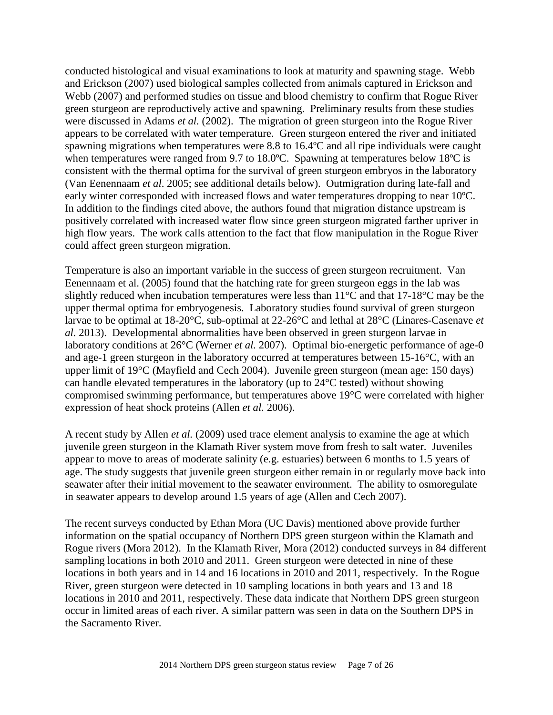conducted histological and visual examinations to look at maturity and spawning stage. Webb and Erickson (2007) used biological samples collected from animals captured in Erickson and Webb (2007) and performed studies on tissue and blood chemistry to confirm that Rogue River green sturgeon are reproductively active and spawning. Preliminary results from these studies were discussed in Adams *et al.* (2002). The migration of green sturgeon into the Rogue River appears to be correlated with water temperature. Green sturgeon entered the river and initiated spawning migrations when temperatures were 8.8 to 16.4ºC and all ripe individuals were caught when temperatures were ranged from 9.7 to 18.0°C. Spawning at temperatures below 18°C is consistent with the thermal optima for the survival of green sturgeon embryos in the laboratory (Van Eenennaam *et al*. 2005; see additional details below). Outmigration during late-fall and early winter corresponded with increased flows and water temperatures dropping to near 10ºC. In addition to the findings cited above, the authors found that migration distance upstream is positively correlated with increased water flow since green sturgeon migrated farther upriver in high flow years. The work calls attention to the fact that flow manipulation in the Rogue River could affect green sturgeon migration.

Temperature is also an important variable in the success of green sturgeon recruitment. Van Eenennaam et al. (2005) found that the hatching rate for green sturgeon eggs in the lab was slightly reduced when incubation temperatures were less than 11°C and that 17-18°C may be the upper thermal optima for embryogenesis. Laboratory studies found survival of green sturgeon larvae to be optimal at 18-20°C, sub-optimal at 22-26°C and lethal at 28°C (Linares-Casenave *et al.* 2013). Developmental abnormalities have been observed in green sturgeon larvae in laboratory conditions at 26°C (Werner *et al.* 2007). Optimal bio-energetic performance of age-0 and age-1 green sturgeon in the laboratory occurred at temperatures between 15-16°C, with an upper limit of 19°C (Mayfield and Cech 2004). Juvenile green sturgeon (mean age: 150 days) can handle elevated temperatures in the laboratory (up to 24°C tested) without showing compromised swimming performance, but temperatures above 19°C were correlated with higher expression of heat shock proteins (Allen *et al.* 2006).

A recent study by Allen *et al.* (2009) used trace element analysis to examine the age at which juvenile green sturgeon in the Klamath River system move from fresh to salt water. Juveniles appear to move to areas of moderate salinity (e.g. estuaries) between 6 months to 1.5 years of age. The study suggests that juvenile green sturgeon either remain in or regularly move back into seawater after their initial movement to the seawater environment. The ability to osmoregulate in seawater appears to develop around 1.5 years of age (Allen and Cech 2007).

The recent surveys conducted by Ethan Mora (UC Davis) mentioned above provide further information on the spatial occupancy of Northern DPS green sturgeon within the Klamath and Rogue rivers (Mora 2012). In the Klamath River, Mora (2012) conducted surveys in 84 different sampling locations in both 2010 and 2011. Green sturgeon were detected in nine of these locations in both years and in 14 and 16 locations in 2010 and 2011, respectively. In the Rogue River, green sturgeon were detected in 10 sampling locations in both years and 13 and 18 locations in 2010 and 2011, respectively. These data indicate that Northern DPS green sturgeon occur in limited areas of each river. A similar pattern was seen in data on the Southern DPS in the Sacramento River.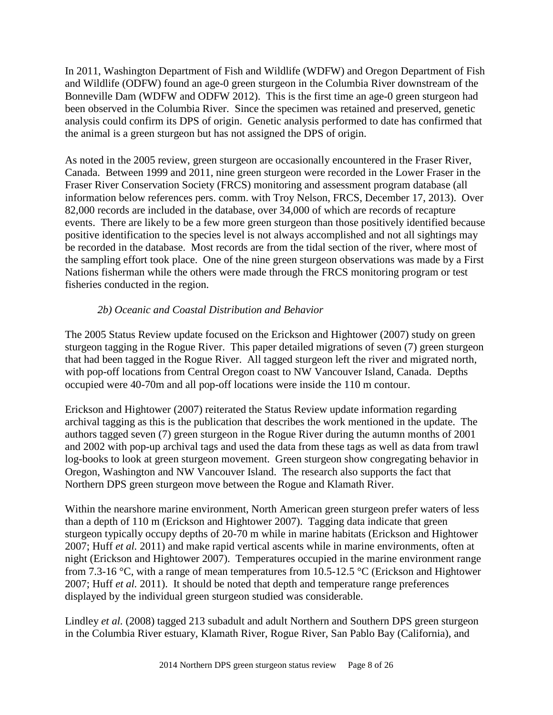In 2011, Washington Department of Fish and Wildlife (WDFW) and Oregon Department of Fish and Wildlife (ODFW) found an age-0 green sturgeon in the Columbia River downstream of the Bonneville Dam (WDFW and ODFW 2012). This is the first time an age-0 green sturgeon had been observed in the Columbia River. Since the specimen was retained and preserved, genetic analysis could confirm its DPS of origin. Genetic analysis performed to date has confirmed that the animal is a green sturgeon but has not assigned the DPS of origin.

As noted in the 2005 review, green sturgeon are occasionally encountered in the Fraser River, Canada. Between 1999 and 2011, nine green sturgeon were recorded in the Lower Fraser in the Fraser River Conservation Society (FRCS) monitoring and assessment program database (all information below references pers. comm. with Troy Nelson, FRCS, December 17, 2013). Over 82,000 records are included in the database, over 34,000 of which are records of recapture events. There are likely to be a few more green sturgeon than those positively identified because positive identification to the species level is not always accomplished and not all sightings may be recorded in the database. Most records are from the tidal section of the river, where most of the sampling effort took place. One of the nine green sturgeon observations was made by a First Nations fisherman while the others were made through the FRCS monitoring program or test fisheries conducted in the region.

## *2b) Oceanic and Coastal Distribution and Behavior*

The 2005 Status Review update focused on the Erickson and Hightower (2007) study on green sturgeon tagging in the Rogue River. This paper detailed migrations of seven (7) green sturgeon that had been tagged in the Rogue River. All tagged sturgeon left the river and migrated north, with pop-off locations from Central Oregon coast to NW Vancouver Island, Canada. Depths occupied were 40-70m and all pop-off locations were inside the 110 m contour.

Erickson and Hightower (2007) reiterated the Status Review update information regarding archival tagging as this is the publication that describes the work mentioned in the update. The authors tagged seven (7) green sturgeon in the Rogue River during the autumn months of 2001 and 2002 with pop-up archival tags and used the data from these tags as well as data from trawl log-books to look at green sturgeon movement. Green sturgeon show congregating behavior in Oregon, Washington and NW Vancouver Island. The research also supports the fact that Northern DPS green sturgeon move between the Rogue and Klamath River.

Within the nearshore marine environment, North American green sturgeon prefer waters of less than a depth of 110 m (Erickson and Hightower 2007). Tagging data indicate that green sturgeon typically occupy depths of 20-70 m while in marine habitats (Erickson and Hightower 2007; Huff *et al.* 2011) and make rapid vertical ascents while in marine environments, often at night (Erickson and Hightower 2007). Temperatures occupied in the marine environment range from 7.3-16 °C, with a range of mean temperatures from 10.5-12.5 °C (Erickson and Hightower 2007; Huff *et al.* 2011). It should be noted that depth and temperature range preferences displayed by the individual green sturgeon studied was considerable.

Lindley *et al.* (2008) tagged 213 subadult and adult Northern and Southern DPS green sturgeon in the Columbia River estuary, Klamath River, Rogue River, San Pablo Bay (California), and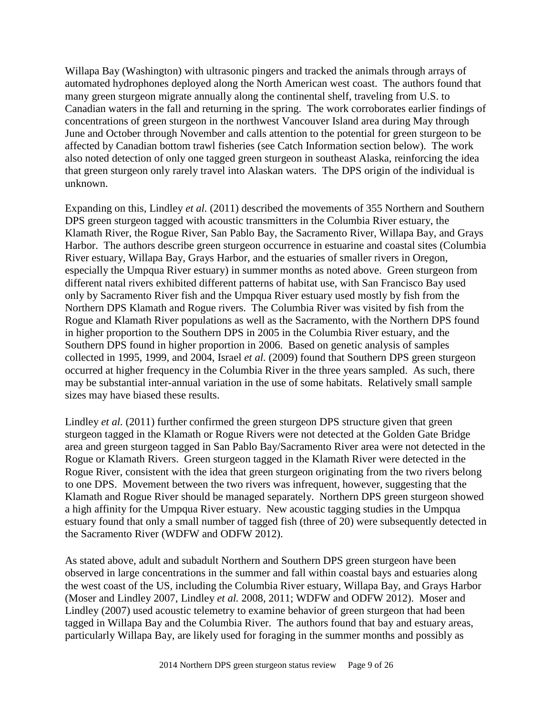Willapa Bay (Washington) with ultrasonic pingers and tracked the animals through arrays of automated hydrophones deployed along the North American west coast. The authors found that many green sturgeon migrate annually along the continental shelf, traveling from U.S. to Canadian waters in the fall and returning in the spring. The work corroborates earlier findings of concentrations of green sturgeon in the northwest Vancouver Island area during May through June and October through November and calls attention to the potential for green sturgeon to be affected by Canadian bottom trawl fisheries (see Catch Information section below). The work also noted detection of only one tagged green sturgeon in southeast Alaska, reinforcing the idea that green sturgeon only rarely travel into Alaskan waters. The DPS origin of the individual is unknown.

Expanding on this, Lindley *et al.* (2011) described the movements of 355 Northern and Southern DPS green sturgeon tagged with acoustic transmitters in the Columbia River estuary, the Klamath River, the Rogue River, San Pablo Bay, the Sacramento River, Willapa Bay, and Grays Harbor. The authors describe green sturgeon occurrence in estuarine and coastal sites (Columbia River estuary, Willapa Bay, Grays Harbor, and the estuaries of smaller rivers in Oregon, especially the Umpqua River estuary) in summer months as noted above. Green sturgeon from different natal rivers exhibited different patterns of habitat use, with San Francisco Bay used only by Sacramento River fish and the Umpqua River estuary used mostly by fish from the Northern DPS Klamath and Rogue rivers. The Columbia River was visited by fish from the Rogue and Klamath River populations as well as the Sacramento, with the Northern DPS found in higher proportion to the Southern DPS in 2005 in the Columbia River estuary, and the Southern DPS found in higher proportion in 2006. Based on genetic analysis of samples collected in 1995, 1999, and 2004, Israel *et al.* (2009) found that Southern DPS green sturgeon occurred at higher frequency in the Columbia River in the three years sampled. As such, there may be substantial inter-annual variation in the use of some habitats. Relatively small sample sizes may have biased these results.

Lindley *et al.* (2011) further confirmed the green sturgeon DPS structure given that green sturgeon tagged in the Klamath or Rogue Rivers were not detected at the Golden Gate Bridge area and green sturgeon tagged in San Pablo Bay/Sacramento River area were not detected in the Rogue or Klamath Rivers. Green sturgeon tagged in the Klamath River were detected in the Rogue River, consistent with the idea that green sturgeon originating from the two rivers belong to one DPS. Movement between the two rivers was infrequent, however, suggesting that the Klamath and Rogue River should be managed separately. Northern DPS green sturgeon showed a high affinity for the Umpqua River estuary. New acoustic tagging studies in the Umpqua estuary found that only a small number of tagged fish (three of 20) were subsequently detected in the Sacramento River (WDFW and ODFW 2012).

As stated above, adult and subadult Northern and Southern DPS green sturgeon have been observed in large concentrations in the summer and fall within coastal bays and estuaries along the west coast of the US, including the Columbia River estuary, Willapa Bay, and Grays Harbor (Moser and Lindley 2007, Lindley *et al.* 2008, 2011; WDFW and ODFW 2012). Moser and Lindley (2007) used acoustic telemetry to examine behavior of green sturgeon that had been tagged in Willapa Bay and the Columbia River. The authors found that bay and estuary areas, particularly Willapa Bay, are likely used for foraging in the summer months and possibly as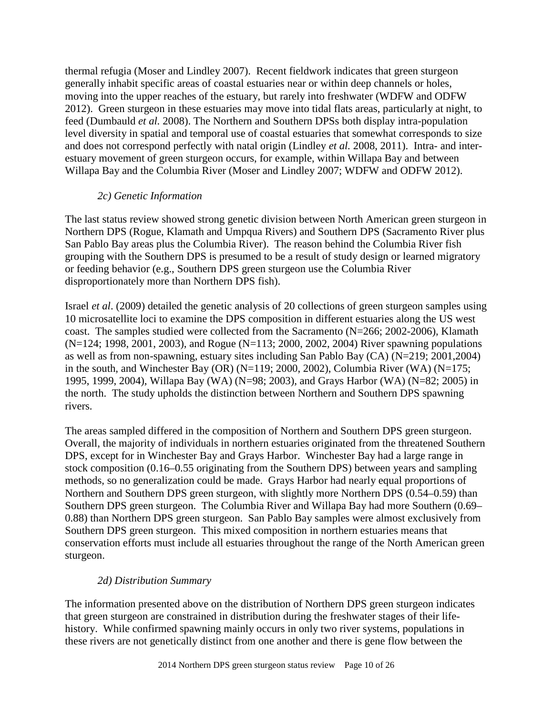thermal refugia (Moser and Lindley 2007). Recent fieldwork indicates that green sturgeon generally inhabit specific areas of coastal estuaries near or within deep channels or holes, moving into the upper reaches of the estuary, but rarely into freshwater (WDFW and ODFW 2012). Green sturgeon in these estuaries may move into tidal flats areas, particularly at night, to feed (Dumbauld *et al.* 2008). The Northern and Southern DPSs both display intra-population level diversity in spatial and temporal use of coastal estuaries that somewhat corresponds to size and does not correspond perfectly with natal origin (Lindley *et al.* 2008, 2011). Intra- and interestuary movement of green sturgeon occurs, for example, within Willapa Bay and between Willapa Bay and the Columbia River (Moser and Lindley 2007; WDFW and ODFW 2012).

### *2c) Genetic Information*

The last status review showed strong genetic division between North American green sturgeon in Northern DPS (Rogue, Klamath and Umpqua Rivers) and Southern DPS (Sacramento River plus San Pablo Bay areas plus the Columbia River). The reason behind the Columbia River fish grouping with the Southern DPS is presumed to be a result of study design or learned migratory or feeding behavior (e.g., Southern DPS green sturgeon use the Columbia River disproportionately more than Northern DPS fish).

Israel *et al*. (2009) detailed the genetic analysis of 20 collections of green sturgeon samples using 10 microsatellite loci to examine the DPS composition in different estuaries along the US west coast. The samples studied were collected from the Sacramento (N=266; 2002-2006), Klamath (N=124; 1998, 2001, 2003), and Rogue (N=113; 2000, 2002, 2004) River spawning populations as well as from non-spawning, estuary sites including San Pablo Bay (CA) (N=219; 2001,2004) in the south, and Winchester Bay (OR) (N=119; 2000, 2002), Columbia River (WA) (N=175; 1995, 1999, 2004), Willapa Bay (WA) (N=98; 2003), and Grays Harbor (WA) (N=82; 2005) in the north. The study upholds the distinction between Northern and Southern DPS spawning rivers.

The areas sampled differed in the composition of Northern and Southern DPS green sturgeon. Overall, the majority of individuals in northern estuaries originated from the threatened Southern DPS, except for in Winchester Bay and Grays Harbor. Winchester Bay had a large range in stock composition (0.16–0.55 originating from the Southern DPS) between years and sampling methods, so no generalization could be made. Grays Harbor had nearly equal proportions of Northern and Southern DPS green sturgeon, with slightly more Northern DPS (0.54–0.59) than Southern DPS green sturgeon. The Columbia River and Willapa Bay had more Southern (0.69– 0.88) than Northern DPS green sturgeon. San Pablo Bay samples were almost exclusively from Southern DPS green sturgeon. This mixed composition in northern estuaries means that conservation efforts must include all estuaries throughout the range of the North American green sturgeon.

## *2d) Distribution Summary*

The information presented above on the distribution of Northern DPS green sturgeon indicates that green sturgeon are constrained in distribution during the freshwater stages of their lifehistory. While confirmed spawning mainly occurs in only two river systems, populations in these rivers are not genetically distinct from one another and there is gene flow between the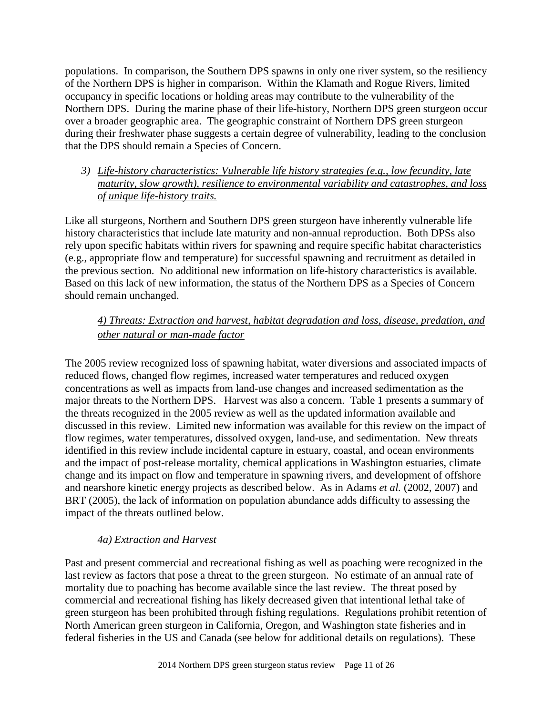populations. In comparison, the Southern DPS spawns in only one river system, so the resiliency of the Northern DPS is higher in comparison. Within the Klamath and Rogue Rivers, limited occupancy in specific locations or holding areas may contribute to the vulnerability of the Northern DPS. During the marine phase of their life-history, Northern DPS green sturgeon occur over a broader geographic area. The geographic constraint of Northern DPS green sturgeon during their freshwater phase suggests a certain degree of vulnerability, leading to the conclusion that the DPS should remain a Species of Concern.

## *3) Life-history characteristics: Vulnerable life history strategies (e.g., low fecundity, late maturity, slow growth), resilience to environmental variability and catastrophes, and loss of unique life-history traits.*

Like all sturgeons, Northern and Southern DPS green sturgeon have inherently vulnerable life history characteristics that include late maturity and non-annual reproduction. Both DPSs also rely upon specific habitats within rivers for spawning and require specific habitat characteristics (e.g., appropriate flow and temperature) for successful spawning and recruitment as detailed in the previous section. No additional new information on life-history characteristics is available. Based on this lack of new information, the status of the Northern DPS as a Species of Concern should remain unchanged.

# *4) Threats: Extraction and harvest, habitat degradation and loss, disease, predation, and other natural or man-made factor*

The 2005 review recognized loss of spawning habitat, water diversions and associated impacts of reduced flows, changed flow regimes, increased water temperatures and reduced oxygen concentrations as well as impacts from land-use changes and increased sedimentation as the major threats to the Northern DPS. Harvest was also a concern. Table 1 presents a summary of the threats recognized in the 2005 review as well as the updated information available and discussed in this review. Limited new information was available for this review on the impact of flow regimes, water temperatures, dissolved oxygen, land-use, and sedimentation. New threats identified in this review include incidental capture in estuary, coastal, and ocean environments and the impact of post-release mortality, chemical applications in Washington estuaries, climate change and its impact on flow and temperature in spawning rivers, and development of offshore and nearshore kinetic energy projects as described below. As in Adams *et al.* (2002, 2007) and BRT (2005), the lack of information on population abundance adds difficulty to assessing the impact of the threats outlined below.

# *4a) Extraction and Harvest*

Past and present commercial and recreational fishing as well as poaching were recognized in the last review as factors that pose a threat to the green sturgeon. No estimate of an annual rate of mortality due to poaching has become available since the last review. The threat posed by commercial and recreational fishing has likely decreased given that intentional lethal take of green sturgeon has been prohibited through fishing regulations. Regulations prohibit retention of North American green sturgeon in California, Oregon, and Washington state fisheries and in federal fisheries in the US and Canada (see below for additional details on regulations). These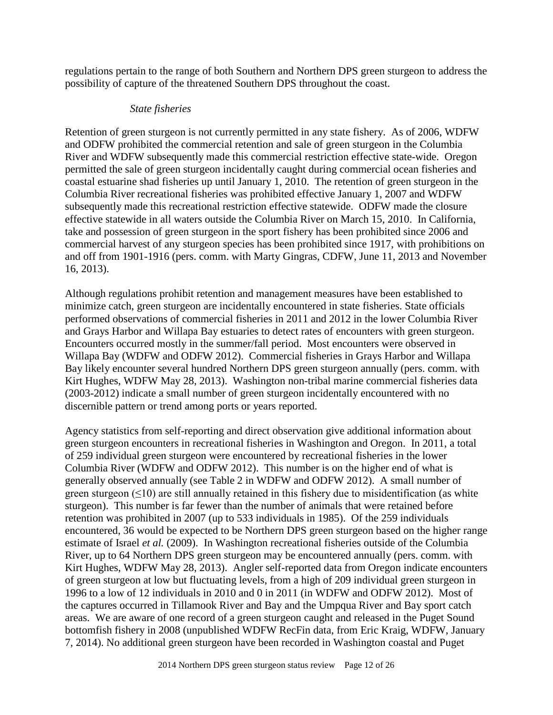regulations pertain to the range of both Southern and Northern DPS green sturgeon to address the possibility of capture of the threatened Southern DPS throughout the coast.

### *State fisheries*

Retention of green sturgeon is not currently permitted in any state fishery. As of 2006, WDFW and ODFW prohibited the commercial retention and sale of green sturgeon in the Columbia River and WDFW subsequently made this commercial restriction effective state-wide. Oregon permitted the sale of green sturgeon incidentally caught during commercial ocean fisheries and coastal estuarine shad fisheries up until January 1, 2010. The retention of green sturgeon in the Columbia River recreational fisheries was prohibited effective January 1, 2007 and WDFW subsequently made this recreational restriction effective statewide. ODFW made the closure effective statewide in all waters outside the Columbia River on March 15, 2010. In California, take and possession of green sturgeon in the sport fishery has been prohibited since 2006 and commercial harvest of any sturgeon species has been prohibited since 1917, with prohibitions on and off from 1901-1916 (pers. comm. with Marty Gingras, CDFW, June 11, 2013 and November 16, 2013).

Although regulations prohibit retention and management measures have been established to minimize catch, green sturgeon are incidentally encountered in state fisheries. State officials performed observations of commercial fisheries in 2011 and 2012 in the lower Columbia River and Grays Harbor and Willapa Bay estuaries to detect rates of encounters with green sturgeon. Encounters occurred mostly in the summer/fall period. Most encounters were observed in Willapa Bay (WDFW and ODFW 2012). Commercial fisheries in Grays Harbor and Willapa Bay likely encounter several hundred Northern DPS green sturgeon annually (pers. comm. with Kirt Hughes, WDFW May 28, 2013). Washington non-tribal marine commercial fisheries data (2003-2012) indicate a small number of green sturgeon incidentally encountered with no discernible pattern or trend among ports or years reported.

Agency statistics from self-reporting and direct observation give additional information about green sturgeon encounters in recreational fisheries in Washington and Oregon. In 2011, a total of 259 individual green sturgeon were encountered by recreational fisheries in the lower Columbia River (WDFW and ODFW 2012). This number is on the higher end of what is generally observed annually (see Table 2 in WDFW and ODFW 2012). A small number of green sturgeon  $(\leq 10)$  are still annually retained in this fishery due to misidentification (as white sturgeon). This number is far fewer than the number of animals that were retained before retention was prohibited in 2007 (up to 533 individuals in 1985). Of the 259 individuals encountered, 36 would be expected to be Northern DPS green sturgeon based on the higher range estimate of Israel *et al.* (2009). In Washington recreational fisheries outside of the Columbia River, up to 64 Northern DPS green sturgeon may be encountered annually (pers. comm. with Kirt Hughes, WDFW May 28, 2013). Angler self-reported data from Oregon indicate encounters of green sturgeon at low but fluctuating levels, from a high of 209 individual green sturgeon in 1996 to a low of 12 individuals in 2010 and 0 in 2011 (in WDFW and ODFW 2012). Most of the captures occurred in Tillamook River and Bay and the Umpqua River and Bay sport catch areas. We are aware of one record of a green sturgeon caught and released in the Puget Sound bottomfish fishery in 2008 (unpublished WDFW RecFin data, from Eric Kraig, WDFW, January 7, 2014). No additional green sturgeon have been recorded in Washington coastal and Puget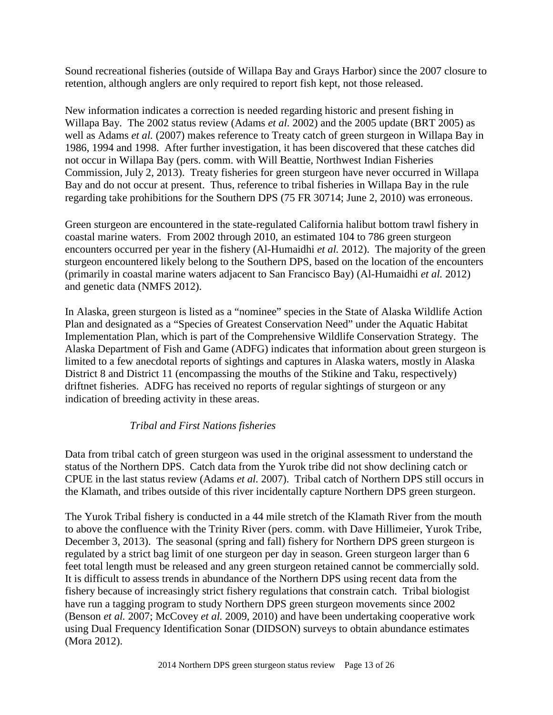Sound recreational fisheries (outside of Willapa Bay and Grays Harbor) since the 2007 closure to retention, although anglers are only required to report fish kept, not those released.

New information indicates a correction is needed regarding historic and present fishing in Willapa Bay. The 2002 status review (Adams *et al.* 2002) and the 2005 update (BRT 2005) as well as Adams *et al.* (2007) makes reference to Treaty catch of green sturgeon in Willapa Bay in 1986, 1994 and 1998. After further investigation, it has been discovered that these catches did not occur in Willapa Bay (pers. comm. with Will Beattie, Northwest Indian Fisheries Commission, July 2, 2013). Treaty fisheries for green sturgeon have never occurred in Willapa Bay and do not occur at present. Thus, reference to tribal fisheries in Willapa Bay in the rule regarding take prohibitions for the Southern DPS (75 FR 30714; June 2, 2010) was erroneous.

Green sturgeon are encountered in the state-regulated California halibut bottom trawl fishery in coastal marine waters. From 2002 through 2010, an estimated 104 to 786 green sturgeon encounters occurred per year in the fishery (Al-Humaidhi *et al.* 2012). The majority of the green sturgeon encountered likely belong to the Southern DPS, based on the location of the encounters (primarily in coastal marine waters adjacent to San Francisco Bay) (Al-Humaidhi *et al.* 2012) and genetic data (NMFS 2012).

In Alaska, green sturgeon is listed as a "nominee" species in the State of Alaska Wildlife Action Plan and designated as a "Species of Greatest Conservation Need" under the Aquatic Habitat Implementation Plan, which is part of the Comprehensive Wildlife Conservation Strategy. The Alaska Department of Fish and Game (ADFG) indicates that information about green sturgeon is limited to a few anecdotal reports of sightings and captures in Alaska waters, mostly in Alaska District 8 and District 11 (encompassing the mouths of the Stikine and Taku, respectively) driftnet fisheries. ADFG has received no reports of regular sightings of sturgeon or any indication of breeding activity in these areas.

## *Tribal and First Nations fisheries*

Data from tribal catch of green sturgeon was used in the original assessment to understand the status of the Northern DPS. Catch data from the Yurok tribe did not show declining catch or CPUE in the last status review (Adams *et al.* 2007). Tribal catch of Northern DPS still occurs in the Klamath, and tribes outside of this river incidentally capture Northern DPS green sturgeon.

The Yurok Tribal fishery is conducted in a 44 mile stretch of the Klamath River from the mouth to above the confluence with the Trinity River (pers. comm. with Dave Hillimeier, Yurok Tribe, December 3, 2013). The seasonal (spring and fall) fishery for Northern DPS green sturgeon is regulated by a strict bag limit of one sturgeon per day in season. Green sturgeon larger than 6 feet total length must be released and any green sturgeon retained cannot be commercially sold. It is difficult to assess trends in abundance of the Northern DPS using recent data from the fishery because of increasingly strict fishery regulations that constrain catch. Tribal biologist have run a tagging program to study Northern DPS green sturgeon movements since 2002 (Benson *et al.* 2007; McCovey *et al.* 2009, 2010) and have been undertaking cooperative work using Dual Frequency Identification Sonar (DIDSON) surveys to obtain abundance estimates (Mora 2012).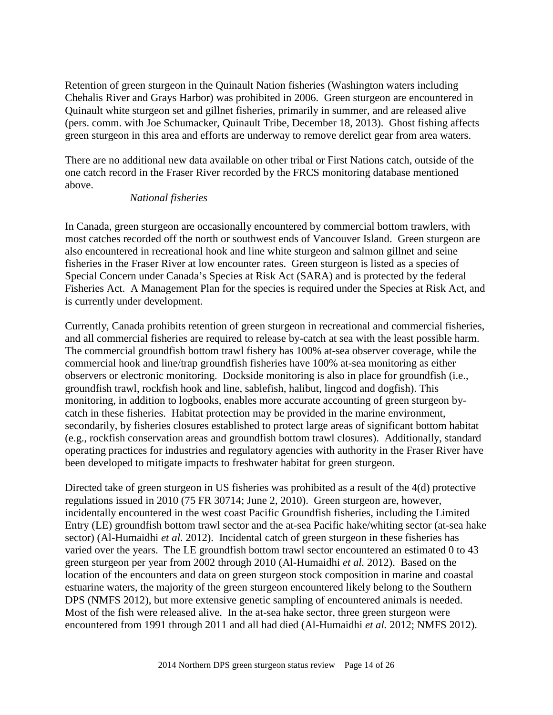Retention of green sturgeon in the Quinault Nation fisheries (Washington waters including Chehalis River and Grays Harbor) was prohibited in 2006. Green sturgeon are encountered in Quinault white sturgeon set and gillnet fisheries, primarily in summer, and are released alive (pers. comm. with Joe Schumacker, Quinault Tribe, December 18, 2013). Ghost fishing affects green sturgeon in this area and efforts are underway to remove derelict gear from area waters.

There are no additional new data available on other tribal or First Nations catch, outside of the one catch record in the Fraser River recorded by the FRCS monitoring database mentioned above.

#### *National fisheries*

In Canada, green sturgeon are occasionally encountered by commercial bottom trawlers, with most catches recorded off the north or southwest ends of Vancouver Island. Green sturgeon are also encountered in recreational hook and line white sturgeon and salmon gillnet and seine fisheries in the Fraser River at low encounter rates. Green sturgeon is listed as a species of Special Concern under Canada's Species at Risk Act (SARA) and is protected by the federal Fisheries Act. A Management Plan for the species is required under the Species at Risk Act, and is currently under development.

Currently, Canada prohibits retention of green sturgeon in recreational and commercial fisheries, and all commercial fisheries are required to release by-catch at sea with the least possible harm. The commercial groundfish bottom trawl fishery has 100% at-sea observer coverage, while the commercial hook and line/trap groundfish fisheries have 100% at-sea monitoring as either observers or electronic monitoring. Dockside monitoring is also in place for groundfish (i.e., groundfish trawl, rockfish hook and line, sablefish, halibut, lingcod and dogfish). This monitoring, in addition to logbooks, enables more accurate accounting of green sturgeon bycatch in these fisheries. Habitat protection may be provided in the marine environment, secondarily, by fisheries closures established to protect large areas of significant bottom habitat (e.g., rockfish conservation areas and groundfish bottom trawl closures). Additionally, standard operating practices for industries and regulatory agencies with authority in the Fraser River have been developed to mitigate impacts to freshwater habitat for green sturgeon.

Directed take of green sturgeon in US fisheries was prohibited as a result of the 4(d) protective regulations issued in 2010 (75 FR 30714; June 2, 2010). Green sturgeon are, however, incidentally encountered in the west coast Pacific Groundfish fisheries, including the Limited Entry (LE) groundfish bottom trawl sector and the at-sea Pacific hake/whiting sector (at-sea hake sector) (Al-Humaidhi *et al.* 2012). Incidental catch of green sturgeon in these fisheries has varied over the years. The LE groundfish bottom trawl sector encountered an estimated 0 to 43 green sturgeon per year from 2002 through 2010 (Al-Humaidhi *et al.* 2012). Based on the location of the encounters and data on green sturgeon stock composition in marine and coastal estuarine waters, the majority of the green sturgeon encountered likely belong to the Southern DPS (NMFS 2012), but more extensive genetic sampling of encountered animals is needed. Most of the fish were released alive. In the at-sea hake sector, three green sturgeon were encountered from 1991 through 2011 and all had died (Al-Humaidhi *et al.* 2012; NMFS 2012).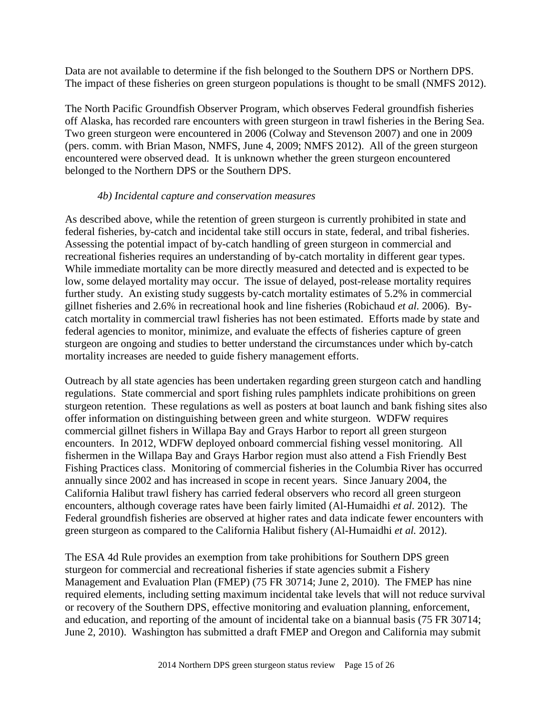Data are not available to determine if the fish belonged to the Southern DPS or Northern DPS. The impact of these fisheries on green sturgeon populations is thought to be small (NMFS 2012).

The North Pacific Groundfish Observer Program, which observes Federal groundfish fisheries off Alaska, has recorded rare encounters with green sturgeon in trawl fisheries in the Bering Sea. Two green sturgeon were encountered in 2006 (Colway and Stevenson 2007) and one in 2009 (pers. comm. with Brian Mason, NMFS, June 4, 2009; NMFS 2012). All of the green sturgeon encountered were observed dead. It is unknown whether the green sturgeon encountered belonged to the Northern DPS or the Southern DPS.

### *4b) Incidental capture and conservation measures*

As described above, while the retention of green sturgeon is currently prohibited in state and federal fisheries, by-catch and incidental take still occurs in state, federal, and tribal fisheries. Assessing the potential impact of by-catch handling of green sturgeon in commercial and recreational fisheries requires an understanding of by-catch mortality in different gear types. While immediate mortality can be more directly measured and detected and is expected to be low, some delayed mortality may occur. The issue of delayed, post-release mortality requires further study. An existing study suggests by-catch mortality estimates of 5.2% in commercial gillnet fisheries and 2.6% in recreational hook and line fisheries (Robichaud *et al.* 2006). Bycatch mortality in commercial trawl fisheries has not been estimated. Efforts made by state and federal agencies to monitor, minimize, and evaluate the effects of fisheries capture of green sturgeon are ongoing and studies to better understand the circumstances under which by-catch mortality increases are needed to guide fishery management efforts.

Outreach by all state agencies has been undertaken regarding green sturgeon catch and handling regulations. State commercial and sport fishing rules pamphlets indicate prohibitions on green sturgeon retention. These regulations as well as posters at boat launch and bank fishing sites also offer information on distinguishing between green and white sturgeon. WDFW requires commercial gillnet fishers in Willapa Bay and Grays Harbor to report all green sturgeon encounters. In 2012, WDFW deployed onboard commercial fishing vessel monitoring. All fishermen in the Willapa Bay and Grays Harbor region must also attend a Fish Friendly Best Fishing Practices class. Monitoring of commercial fisheries in the Columbia River has occurred annually since 2002 and has increased in scope in recent years. Since January 2004, the California Halibut trawl fishery has carried federal observers who record all green sturgeon encounters, although coverage rates have been fairly limited (Al-Humaidhi *et al.* 2012). The Federal groundfish fisheries are observed at higher rates and data indicate fewer encounters with green sturgeon as compared to the California Halibut fishery (Al-Humaidhi *et al.* 2012).

The ESA 4d Rule provides an exemption from take prohibitions for Southern DPS green sturgeon for commercial and recreational fisheries if state agencies submit a Fishery Management and Evaluation Plan (FMEP) (75 FR 30714; June 2, 2010). The FMEP has nine required elements, including setting maximum incidental take levels that will not reduce survival or recovery of the Southern DPS, effective monitoring and evaluation planning, enforcement, and education, and reporting of the amount of incidental take on a biannual basis (75 FR 30714; June 2, 2010). Washington has submitted a draft FMEP and Oregon and California may submit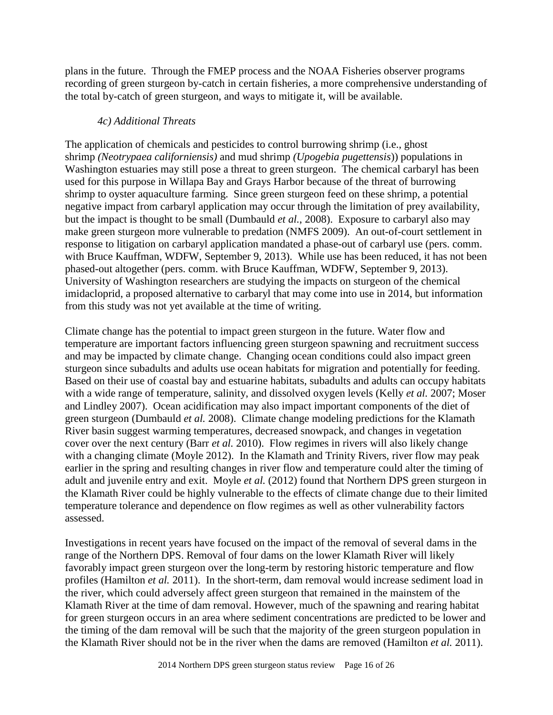plans in the future. Through the FMEP process and the NOAA Fisheries observer programs recording of green sturgeon by-catch in certain fisheries, a more comprehensive understanding of the total by-catch of green sturgeon, and ways to mitigate it, will be available.

### *4c) Additional Threats*

The application of chemicals and pesticides to control burrowing shrimp (i.e., ghost shrimp *(Neotrypaea californiensis)* and mud shrimp *(Upogebia pugettensis*)) populations in Washington estuaries may still pose a threat to green sturgeon. The chemical carbaryl has been used for this purpose in Willapa Bay and Grays Harbor because of the threat of burrowing shrimp to oyster aquaculture farming. Since green sturgeon feed on these shrimp, a potential negative impact from carbaryl application may occur through the limitation of prey availability, but the impact is thought to be small (Dumbauld *et al.*, 2008). Exposure to carbaryl also may make green sturgeon more vulnerable to predation (NMFS 2009). An out-of-court settlement in response to litigation on carbaryl application mandated a phase-out of carbaryl use (pers. comm. with Bruce Kauffman, WDFW, September 9, 2013). While use has been reduced, it has not been phased-out altogether (pers. comm. with Bruce Kauffman, WDFW, September 9, 2013). University of Washington researchers are studying the impacts on sturgeon of the chemical imidacloprid, a proposed alternative to carbaryl that may come into use in 2014, but information from this study was not yet available at the time of writing.

Climate change has the potential to impact green sturgeon in the future. Water flow and temperature are important factors influencing green sturgeon spawning and recruitment success and may be impacted by climate change. Changing ocean conditions could also impact green sturgeon since subadults and adults use ocean habitats for migration and potentially for feeding. Based on their use of coastal bay and estuarine habitats, subadults and adults can occupy habitats with a wide range of temperature, salinity, and dissolved oxygen levels (Kelly *et al.* 2007; Moser and Lindley 2007). Ocean acidification may also impact important components of the diet of green sturgeon (Dumbauld *et al.* 2008).Climate change modeling predictions for the Klamath River basin suggest warming temperatures, decreased snowpack, and changes in vegetation cover over the next century (Barr *et al.* 2010). Flow regimes in rivers will also likely change with a changing climate (Moyle 2012). In the Klamath and Trinity Rivers, river flow may peak earlier in the spring and resulting changes in river flow and temperature could alter the timing of adult and juvenile entry and exit. Moyle *et al.* (2012) found that Northern DPS green sturgeon in the Klamath River could be highly vulnerable to the effects of climate change due to their limited temperature tolerance and dependence on flow regimes as well as other vulnerability factors assessed.

Investigations in recent years have focused on the impact of the removal of several dams in the range of the Northern DPS. Removal of four dams on the lower Klamath River will likely favorably impact green sturgeon over the long-term by restoring historic temperature and flow profiles (Hamilton *et al.* 2011). In the short-term, dam removal would increase sediment load in the river, which could adversely affect green sturgeon that remained in the mainstem of the Klamath River at the time of dam removal. However, much of the spawning and rearing habitat for green sturgeon occurs in an area where sediment concentrations are predicted to be lower and the timing of the dam removal will be such that the majority of the green sturgeon population in the Klamath River should not be in the river when the dams are removed (Hamilton *et al.* 2011).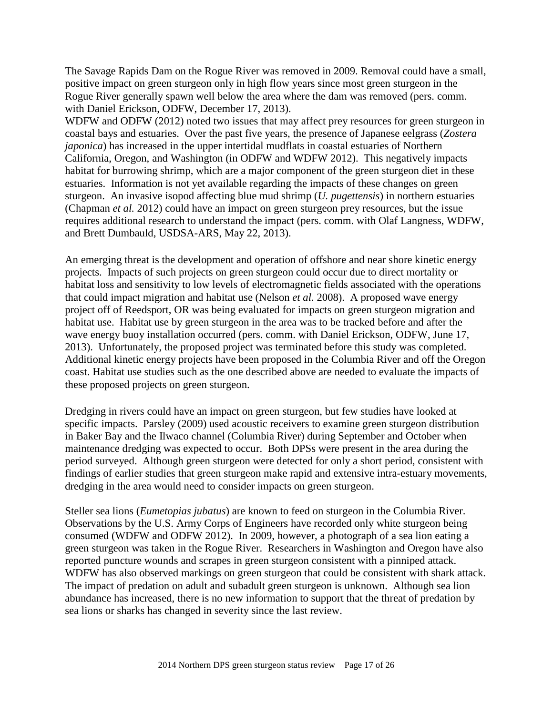The Savage Rapids Dam on the Rogue River was removed in 2009. Removal could have a small, positive impact on green sturgeon only in high flow years since most green sturgeon in the Rogue River generally spawn well below the area where the dam was removed (pers. comm. with Daniel Erickson, ODFW, December 17, 2013).

WDFW and ODFW (2012) noted two issues that may affect prey resources for green sturgeon in coastal bays and estuaries. Over the past five years, the presence of Japanese eelgrass (*Zostera japonica*) has increased in the upper intertidal mudflats in coastal estuaries of Northern California, Oregon, and Washington (in ODFW and WDFW 2012). This negatively impacts habitat for burrowing shrimp, which are a major component of the green sturgeon diet in these estuaries. Information is not yet available regarding the impacts of these changes on green sturgeon. An invasive isopod affecting blue mud shrimp (*U. pugettensis*) in northern estuaries (Chapman *et al.* 2012) could have an impact on green sturgeon prey resources, but the issue requires additional research to understand the impact (pers. comm. with Olaf Langness, WDFW, and Brett Dumbauld, USDSA-ARS, May 22, 2013).

An emerging threat is the development and operation of offshore and near shore kinetic energy projects. Impacts of such projects on green sturgeon could occur due to direct mortality or habitat loss and sensitivity to low levels of electromagnetic fields associated with the operations that could impact migration and habitat use (Nelson *et al.* 2008). A proposed wave energy project off of Reedsport, OR was being evaluated for impacts on green sturgeon migration and habitat use. Habitat use by green sturgeon in the area was to be tracked before and after the wave energy buoy installation occurred (pers. comm. with Daniel Erickson, ODFW, June 17, 2013). Unfortunately, the proposed project was terminated before this study was completed. Additional kinetic energy projects have been proposed in the Columbia River and off the Oregon coast. Habitat use studies such as the one described above are needed to evaluate the impacts of these proposed projects on green sturgeon.

Dredging in rivers could have an impact on green sturgeon, but few studies have looked at specific impacts. Parsley (2009) used acoustic receivers to examine green sturgeon distribution in Baker Bay and the Ilwaco channel (Columbia River) during September and October when maintenance dredging was expected to occur. Both DPSs were present in the area during the period surveyed. Although green sturgeon were detected for only a short period, consistent with findings of earlier studies that green sturgeon make rapid and extensive intra-estuary movements, dredging in the area would need to consider impacts on green sturgeon.

Steller sea lions (*Eumetopias jubatus*) are known to feed on sturgeon in the Columbia River. Observations by the U.S. Army Corps of Engineers have recorded only white sturgeon being consumed (WDFW and ODFW 2012). In 2009, however, a photograph of a sea lion eating a green sturgeon was taken in the Rogue River. Researchers in Washington and Oregon have also reported puncture wounds and scrapes in green sturgeon consistent with a pinniped attack. WDFW has also observed markings on green sturgeon that could be consistent with shark attack. The impact of predation on adult and subadult green sturgeon is unknown. Although sea lion abundance has increased, there is no new information to support that the threat of predation by sea lions or sharks has changed in severity since the last review.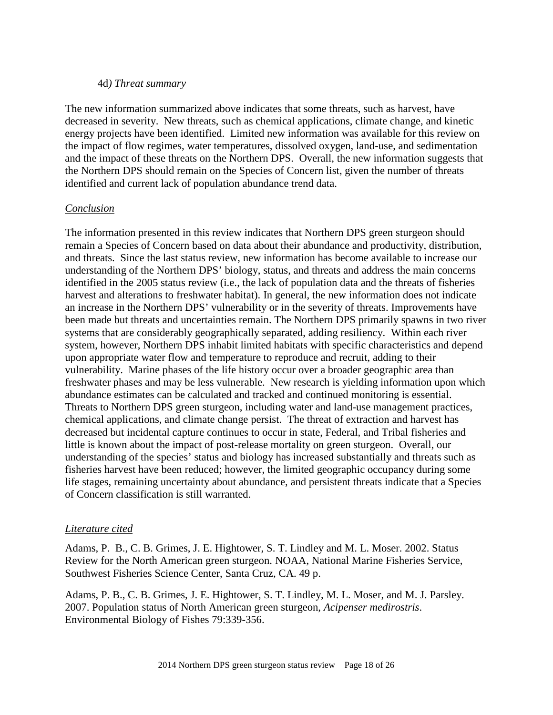#### 4d*) Threat summary*

The new information summarized above indicates that some threats, such as harvest, have decreased in severity. New threats, such as chemical applications, climate change, and kinetic energy projects have been identified. Limited new information was available for this review on the impact of flow regimes, water temperatures, dissolved oxygen, land-use, and sedimentation and the impact of these threats on the Northern DPS. Overall, the new information suggests that the Northern DPS should remain on the Species of Concern list, given the number of threats identified and current lack of population abundance trend data.

### *Conclusion*

The information presented in this review indicates that Northern DPS green sturgeon should remain a Species of Concern based on data about their abundance and productivity, distribution, and threats. Since the last status review, new information has become available to increase our understanding of the Northern DPS' biology, status, and threats and address the main concerns identified in the 2005 status review (i.e., the lack of population data and the threats of fisheries harvest and alterations to freshwater habitat). In general, the new information does not indicate an increase in the Northern DPS' vulnerability or in the severity of threats. Improvements have been made but threats and uncertainties remain. The Northern DPS primarily spawns in two river systems that are considerably geographically separated, adding resiliency. Within each river system, however, Northern DPS inhabit limited habitats with specific characteristics and depend upon appropriate water flow and temperature to reproduce and recruit, adding to their vulnerability. Marine phases of the life history occur over a broader geographic area than freshwater phases and may be less vulnerable. New research is yielding information upon which abundance estimates can be calculated and tracked and continued monitoring is essential. Threats to Northern DPS green sturgeon, including water and land-use management practices, chemical applications, and climate change persist. The threat of extraction and harvest has decreased but incidental capture continues to occur in state, Federal, and Tribal fisheries and little is known about the impact of post-release mortality on green sturgeon. Overall, our understanding of the species' status and biology has increased substantially and threats such as fisheries harvest have been reduced; however, the limited geographic occupancy during some life stages, remaining uncertainty about abundance, and persistent threats indicate that a Species of Concern classification is still warranted.

### *Literature cited*

Adams, P. B., C. B. Grimes, J. E. Hightower, S. T. Lindley and M. L. Moser. 2002. Status Review for the North American green sturgeon. NOAA, National Marine Fisheries Service, Southwest Fisheries Science Center, Santa Cruz, CA. 49 p.

Adams, P. B., C. B. Grimes, J. E. Hightower, S. T. Lindley, M. L. Moser, and M. J. Parsley. 2007. Population status of North American green sturgeon, *Acipenser medirostris*. Environmental Biology of Fishes 79:339-356.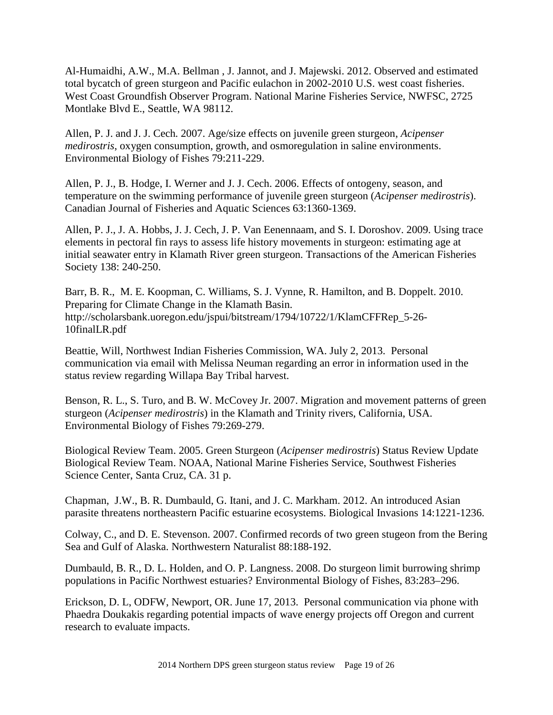Al-Humaidhi, A.W., M.A. Bellman , J. Jannot, and J. Majewski. 2012. Observed and estimated total bycatch of green sturgeon and Pacific eulachon in 2002-2010 U.S. west coast fisheries. West Coast Groundfish Observer Program. National Marine Fisheries Service, NWFSC, 2725 Montlake Blvd E., Seattle, WA 98112.

Allen, P. J. and J. J. Cech. 2007. Age/size effects on juvenile green sturgeon, *Acipenser medirostris*, oxygen consumption, growth, and osmoregulation in saline environments. Environmental Biology of Fishes 79:211-229.

Allen, P. J., B. Hodge, I. Werner and J. J. Cech. 2006. Effects of ontogeny, season, and temperature on the swimming performance of juvenile green sturgeon (*Acipenser medirostris*). Canadian Journal of Fisheries and Aquatic Sciences 63:1360-1369.

Allen, P. J., J. A. Hobbs, J. J. Cech, J. P. Van Eenennaam, and S. I. Doroshov. 2009. Using trace elements in pectoral fin rays to assess life history movements in sturgeon: estimating age at initial seawater entry in Klamath River green sturgeon. Transactions of the American Fisheries Society 138: 240-250.

Barr, B. R., M. E. Koopman, C. Williams, S. J. Vynne, R. Hamilton, and B. Doppelt. 2010. Preparing for Climate Change in the Klamath Basin. http://scholarsbank.uoregon.edu/jspui/bitstream/1794/10722/1/KlamCFFRep\_5-26- 10finalLR.pdf

Beattie, Will, Northwest Indian Fisheries Commission, WA. July 2, 2013. Personal communication via email with Melissa Neuman regarding an error in information used in the status review regarding Willapa Bay Tribal harvest.

Benson, R. L., S. Turo, and B. W. McCovey Jr. 2007. Migration and movement patterns of green sturgeon (*Acipenser medirostris*) in the Klamath and Trinity rivers, California, USA. Environmental Biology of Fishes 79:269-279.

Biological Review Team. 2005. Green Sturgeon (*Acipenser medirostris*) Status Review Update Biological Review Team. NOAA, National Marine Fisheries Service, Southwest Fisheries Science Center, Santa Cruz, CA. 31 p.

Chapman, J.W., B. R. Dumbauld, G. Itani, and J. C. Markham. 2012. An introduced Asian parasite threatens northeastern Pacific estuarine ecosystems. Biological Invasions 14:1221-1236.

Colway, C., and D. E. Stevenson. 2007. Confirmed records of two green stugeon from the Bering Sea and Gulf of Alaska. Northwestern Naturalist 88:188-192.

Dumbauld, B. R., D. L. Holden, and O. P. Langness. 2008. Do sturgeon limit burrowing shrimp populations in Pacific Northwest estuaries? Environmental Biology of Fishes, 83:283–296.

Erickson, D. L, ODFW, Newport, OR. June 17, 2013. Personal communication via phone with Phaedra Doukakis regarding potential impacts of wave energy projects off Oregon and current research to evaluate impacts.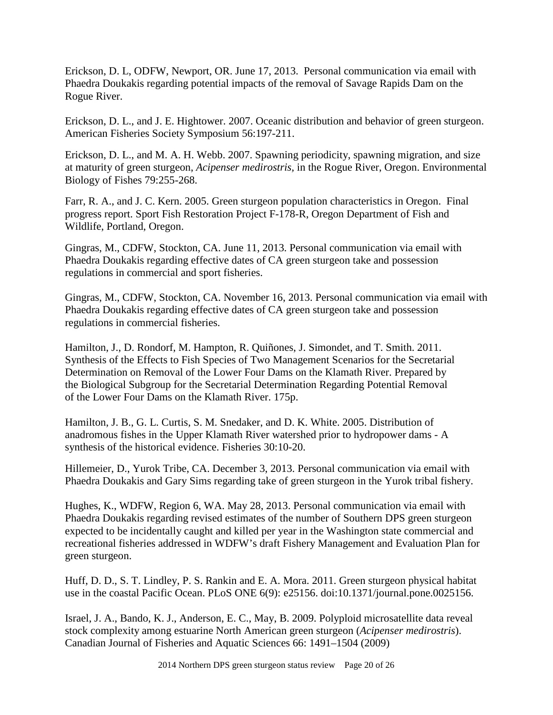Erickson, D. L, ODFW, Newport, OR. June 17, 2013. Personal communication via email with Phaedra Doukakis regarding potential impacts of the removal of Savage Rapids Dam on the Rogue River.

Erickson, D. L., and J. E. Hightower. 2007. Oceanic distribution and behavior of green sturgeon. American Fisheries Society Symposium 56:197-211.

Erickson, D. L., and M. A. H. Webb. 2007. Spawning periodicity, spawning migration, and size at maturity of green sturgeon, *Acipenser medirostris,* in the Rogue River, Oregon. Environmental Biology of Fishes 79:255-268.

Farr, R. A., and J. C. Kern. 2005. Green sturgeon population characteristics in Oregon. Final progress report. Sport Fish Restoration Project F-178-R, Oregon Department of Fish and Wildlife, Portland, Oregon.

Gingras, M., CDFW, Stockton, CA. June 11, 2013. Personal communication via email with Phaedra Doukakis regarding effective dates of CA green sturgeon take and possession regulations in commercial and sport fisheries.

Gingras, M., CDFW, Stockton, CA. November 16, 2013. Personal communication via email with Phaedra Doukakis regarding effective dates of CA green sturgeon take and possession regulations in commercial fisheries.

Hamilton, J., D. Rondorf, M. Hampton, R. Quiñones, J. Simondet, and T. Smith. 2011. Synthesis of the Effects to Fish Species of Two Management Scenarios for the Secretarial Determination on Removal of the Lower Four Dams on the Klamath River. Prepared by the Biological Subgroup for the Secretarial Determination Regarding Potential Removal of the Lower Four Dams on the Klamath River. 175p.

Hamilton, J. B., G. L. Curtis, S. M. Snedaker, and D. K. White. 2005. Distribution of anadromous fishes in the Upper Klamath River watershed prior to hydropower dams - A synthesis of the historical evidence. Fisheries 30:10-20.

Hillemeier, D., Yurok Tribe, CA. December 3, 2013. Personal communication via email with Phaedra Doukakis and Gary Sims regarding take of green sturgeon in the Yurok tribal fishery.

Hughes, K., WDFW, Region 6, WA. May 28, 2013. Personal communication via email with Phaedra Doukakis regarding revised estimates of the number of Southern DPS green sturgeon expected to be incidentally caught and killed per year in the Washington state commercial and recreational fisheries addressed in WDFW's draft Fishery Management and Evaluation Plan for green sturgeon.

Huff, D. D., S. T. Lindley, P. S. Rankin and E. A. Mora. 2011. Green sturgeon physical habitat use in the coastal Pacific Ocean. PLoS ONE 6(9): e25156. doi:10.1371/journal.pone.0025156.

Israel, J. A., Bando, K. J., Anderson, E. C., May, B. 2009. Polyploid microsatellite data reveal stock complexity among estuarine North American green sturgeon (*Acipenser medirostris*). Canadian Journal of Fisheries and Aquatic Sciences 66: 1491–1504 (2009)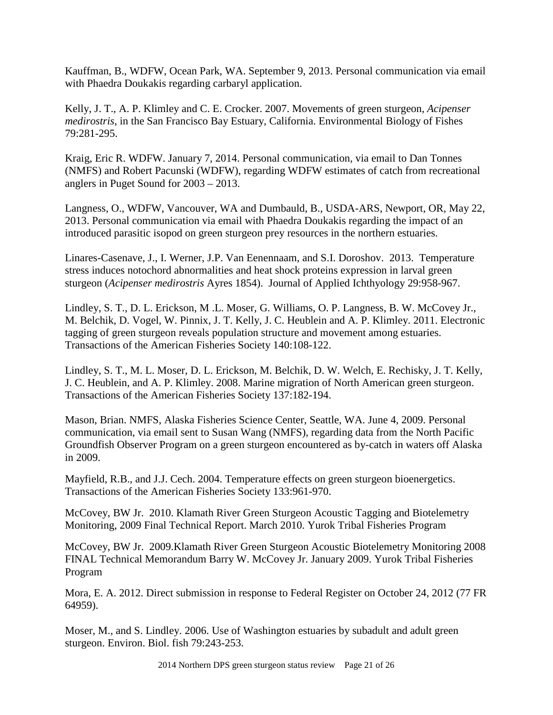Kauffman, B., WDFW, Ocean Park, WA. September 9, 2013. Personal communication via email with Phaedra Doukakis regarding carbaryl application.

Kelly, J. T., A. P. Klimley and C. E. Crocker. 2007. Movements of green sturgeon, *Acipenser medirostris*, in the San Francisco Bay Estuary, California. Environmental Biology of Fishes 79:281-295.

Kraig, Eric R. WDFW. January 7, 2014. Personal communication, via email to Dan Tonnes (NMFS) and Robert Pacunski (WDFW), regarding WDFW estimates of catch from recreational anglers in Puget Sound for 2003 – 2013.

Langness, O., WDFW, Vancouver, WA and Dumbauld, B., USDA-ARS, Newport, OR, May 22, 2013. Personal communication via email with Phaedra Doukakis regarding the impact of an introduced parasitic isopod on green sturgeon prey resources in the northern estuaries.

Linares-Casenave, J., I. Werner, J.P. Van Eenennaam, and S.I. Doroshov. 2013. Temperature stress induces notochord abnormalities and heat shock proteins expression in larval green sturgeon (*Acipenser medirostris* Ayres 1854). Journal of Applied Ichthyology 29:958-967.

Lindley, S. T., D. L. Erickson, M .L. Moser, G. Williams, O. P. Langness, B. W. McCovey Jr., M. Belchik, D. Vogel, W. Pinnix, J. T. Kelly, J. C. Heublein and A. P. Klimley. 2011. Electronic tagging of green sturgeon reveals population structure and movement among estuaries. Transactions of the American Fisheries Society 140:108-122.

Lindley, S. T., M. L. Moser, D. L. Erickson, M. Belchik, D. W. Welch, E. Rechisky, J. T. Kelly, J. C. Heublein, and A. P. Klimley. 2008. Marine migration of North American green sturgeon. Transactions of the American Fisheries Society 137:182-194.

Mason, Brian. NMFS, Alaska Fisheries Science Center, Seattle, WA. June 4, 2009. Personal communication, via email sent to Susan Wang (NMFS), regarding data from the North Pacific Groundfish Observer Program on a green sturgeon encountered as by-catch in waters off Alaska in 2009.

Mayfield, R.B., and J.J. Cech. 2004. Temperature effects on green sturgeon bioenergetics. Transactions of the American Fisheries Society 133:961-970.

McCovey, BW Jr. 2010. Klamath River Green Sturgeon Acoustic Tagging and Biotelemetry Monitoring, 2009 Final Technical Report. March 2010. Yurok Tribal Fisheries Program

McCovey, BW Jr. 2009.Klamath River Green Sturgeon Acoustic Biotelemetry Monitoring 2008 FINAL Technical Memorandum Barry W. McCovey Jr. January 2009. Yurok Tribal Fisheries Program

Mora, E. A. 2012. Direct submission in response to Federal Register on October 24, 2012 (77 FR 64959).

Moser, M., and S. Lindley. 2006. Use of Washington estuaries by subadult and adult green sturgeon. Environ. Biol. fish 79:243-253.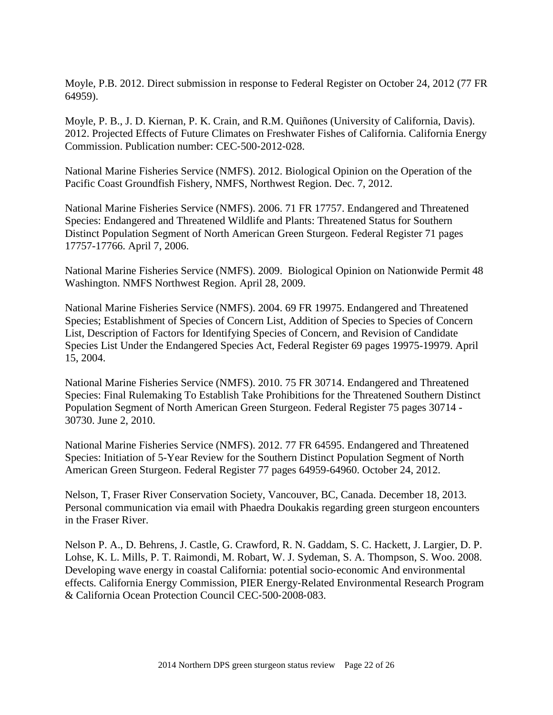Moyle, P.B. 2012. Direct submission in response to Federal Register on October 24, 2012 (77 FR 64959).

Moyle, P. B., J. D. Kiernan, P. K. Crain, and R.M. Quiñones (University of California, Davis). 2012. Projected Effects of Future Climates on Freshwater Fishes of California. California Energy Commission. Publication number: CEC‐500‐2012‐028.

National Marine Fisheries Service (NMFS). 2012. Biological Opinion on the Operation of the Pacific Coast Groundfish Fishery, NMFS, Northwest Region. Dec. 7, 2012.

National Marine Fisheries Service (NMFS). 2006. 71 FR 17757. Endangered and Threatened Species: Endangered and Threatened Wildlife and Plants: Threatened Status for Southern Distinct Population Segment of North American Green Sturgeon. Federal Register 71 pages 17757-17766. April 7, 2006.

National Marine Fisheries Service (NMFS). 2009. Biological Opinion on Nationwide Permit 48 Washington. NMFS Northwest Region. April 28, 2009.

National Marine Fisheries Service (NMFS). 2004. 69 FR 19975. Endangered and Threatened Species; Establishment of Species of Concern List, Addition of Species to Species of Concern List, Description of Factors for Identifying Species of Concern, and Revision of Candidate Species List Under the Endangered Species Act, Federal Register 69 pages 19975-19979. April 15, 2004.

National Marine Fisheries Service (NMFS). 2010. 75 FR 30714. Endangered and Threatened Species: Final Rulemaking To Establish Take Prohibitions for the Threatened Southern Distinct Population Segment of North American Green Sturgeon. Federal Register 75 pages 30714 - 30730. June 2, 2010.

National Marine Fisheries Service (NMFS). 2012. 77 FR 64595. Endangered and Threatened Species: Initiation of 5-Year Review for the Southern Distinct Population Segment of North American Green Sturgeon. Federal Register 77 pages 64959-64960. October 24, 2012.

Nelson, T, Fraser River Conservation Society, Vancouver, BC, Canada. December 18, 2013. Personal communication via email with Phaedra Doukakis regarding green sturgeon encounters in the Fraser River.

Nelson P. A., D. Behrens, J. Castle, G. Crawford, R. N. Gaddam, S. C. Hackett, J. Largier, D. P. Lohse, K. L. Mills, P. T. Raimondi, M. Robart, W. J. Sydeman, S. A. Thompson, S. Woo. 2008. Developing wave energy in coastal California: potential socio‐economic And environmental effects*.* California Energy Commission, PIER Energy‐Related Environmental Research Program & California Ocean Protection Council CEC‐500‐2008‐083.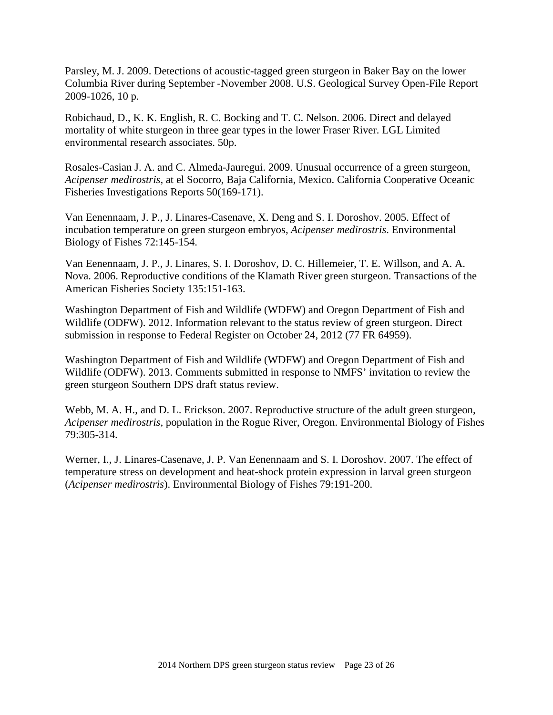Parsley, M. J. 2009. Detections of acoustic-tagged green sturgeon in Baker Bay on the lower Columbia River during September -November 2008. U.S. Geological Survey Open-File Report 2009-1026, 10 p.

Robichaud, D., K. K. English, R. C. Bocking and T. C. Nelson. 2006. Direct and delayed mortality of white sturgeon in three gear types in the lower Fraser River. LGL Limited environmental research associates. 50p.

Rosales-Casian J. A. and C. Almeda-Jauregui. 2009. Unusual occurrence of a green sturgeon, *Acipenser medirostris*, at el Socorro, Baja California, Mexico. California Cooperative Oceanic Fisheries Investigations Reports 50(169-171).

Van Eenennaam, J. P., J. Linares-Casenave, X. Deng and S. I. Doroshov. 2005. Effect of incubation temperature on green sturgeon embryos, *Acipenser medirostris*. Environmental Biology of Fishes 72:145-154.

Van Eenennaam, J. P., J. Linares, S. I. Doroshov, D. C. Hillemeier, T. E. Willson, and A. A. Nova. 2006. Reproductive conditions of the Klamath River green sturgeon. Transactions of the American Fisheries Society 135:151-163.

Washington Department of Fish and Wildlife (WDFW) and Oregon Department of Fish and Wildlife (ODFW). 2012. Information relevant to the status review of green sturgeon. Direct submission in response to Federal Register on October 24, 2012 (77 FR 64959).

Washington Department of Fish and Wildlife (WDFW) and Oregon Department of Fish and Wildlife (ODFW). 2013. Comments submitted in response to NMFS' invitation to review the green sturgeon Southern DPS draft status review.

Webb, M. A. H., and D. L. Erickson. 2007. Reproductive structure of the adult green sturgeon, *Acipenser medirostris,* population in the Rogue River, Oregon. Environmental Biology of Fishes 79:305-314.

Werner, I., J. Linares-Casenave, J. P. Van Eenennaam and S. I. Doroshov. 2007. The effect of temperature stress on development and heat-shock protein expression in larval green sturgeon (*Acipenser medirostris*). Environmental Biology of Fishes 79:191-200.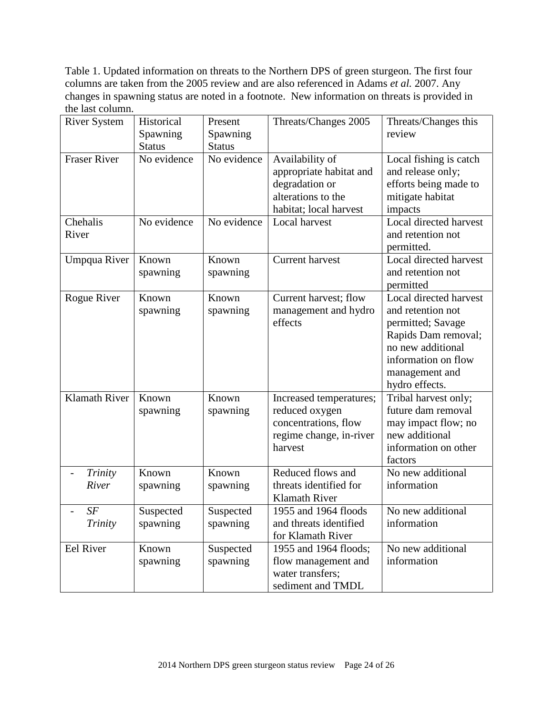Table 1. Updated information on threats to the Northern DPS of green sturgeon. The first four columns are taken from the 2005 review and are also referenced in Adams *et al.* 2007. Any changes in spawning status are noted in a footnote. New information on threats is provided in the last column.

| <b>River System</b>  | Historical        | Present           | Threats/Changes 2005                                                                                         | Threats/Changes this                                                                                |
|----------------------|-------------------|-------------------|--------------------------------------------------------------------------------------------------------------|-----------------------------------------------------------------------------------------------------|
|                      | Spawning          | Spawning          |                                                                                                              | review                                                                                              |
|                      | <b>Status</b>     | <b>Status</b>     |                                                                                                              |                                                                                                     |
| <b>Fraser River</b>  | No evidence       | No evidence       | Availability of<br>appropriate habitat and<br>degradation or<br>alterations to the<br>habitat; local harvest | Local fishing is catch<br>and release only;<br>efforts being made to<br>mitigate habitat<br>impacts |
| Chehalis             | No evidence       | No evidence       | Local harvest                                                                                                | Local directed harvest                                                                              |
| River                |                   |                   |                                                                                                              | and retention not                                                                                   |
|                      |                   |                   |                                                                                                              | permitted.                                                                                          |
| Umpqua River         | Known<br>spawning | Known<br>spawning | <b>Current harvest</b>                                                                                       | Local directed harvest<br>and retention not                                                         |
|                      |                   |                   |                                                                                                              | permitted<br>Local directed harvest                                                                 |
| Rogue River          | Known             | Known             | Current harvest; flow                                                                                        | and retention not                                                                                   |
|                      | spawning          | spawning          | management and hydro<br>effects                                                                              |                                                                                                     |
|                      |                   |                   |                                                                                                              | permitted; Savage<br>Rapids Dam removal;                                                            |
|                      |                   |                   |                                                                                                              | no new additional                                                                                   |
|                      |                   |                   |                                                                                                              | information on flow                                                                                 |
|                      |                   |                   |                                                                                                              | management and                                                                                      |
|                      |                   |                   |                                                                                                              | hydro effects.                                                                                      |
| <b>Klamath River</b> | Known             | Known             | Increased temperatures;                                                                                      | Tribal harvest only;                                                                                |
|                      | spawning          | spawning          | reduced oxygen                                                                                               | future dam removal                                                                                  |
|                      |                   |                   | concentrations, flow                                                                                         | may impact flow; no                                                                                 |
|                      |                   |                   | regime change, in-river                                                                                      | new additional                                                                                      |
|                      |                   |                   | harvest                                                                                                      | information on other                                                                                |
|                      |                   |                   |                                                                                                              | factors                                                                                             |
| Trinity              | Known             | Known             | Reduced flows and                                                                                            | No new additional                                                                                   |
| River                | spawning          | spawning          | threats identified for                                                                                       | information                                                                                         |
|                      |                   |                   | <b>Klamath River</b>                                                                                         |                                                                                                     |
| SF                   | Suspected         | Suspected         | 1955 and 1964 floods                                                                                         | No new additional                                                                                   |
| Trinity              | spawning          | spawning          | and threats identified                                                                                       | information                                                                                         |
|                      |                   |                   | for Klamath River                                                                                            |                                                                                                     |
| Eel River            | Known             | Suspected         | 1955 and 1964 floods;                                                                                        | No new additional                                                                                   |
|                      | spawning          | spawning          | flow management and                                                                                          | information                                                                                         |
|                      |                   |                   | water transfers;                                                                                             |                                                                                                     |
|                      |                   |                   | sediment and TMDL                                                                                            |                                                                                                     |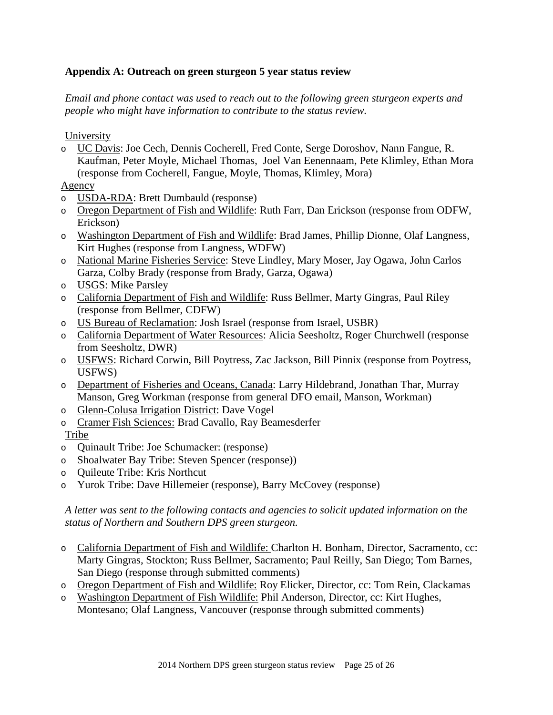## **Appendix A: Outreach on green sturgeon 5 year status review**

*Email and phone contact was used to reach out to the following green sturgeon experts and people who might have information to contribute to the status review.* 

University

o UC Davis: Joe Cech, Dennis Cocherell, Fred Conte, Serge Doroshov, Nann Fangue, R. Kaufman, Peter Moyle, Michael Thomas, Joel Van Eenennaam, Pete Klimley, Ethan Mora (response from Cocherell, Fangue, Moyle, Thomas, Klimley, Mora)

# Agency

- o USDA-RDA: Brett Dumbauld (response)
- o Oregon Department of Fish and Wildlife: Ruth Farr, Dan Erickson (response from ODFW, Erickson)
- o Washington Department of Fish and Wildlife: Brad James, Phillip Dionne, Olaf Langness, Kirt Hughes (response from Langness, WDFW)
- o National Marine Fisheries Service: Steve Lindley, Mary Moser, Jay Ogawa, John Carlos Garza, Colby Brady (response from Brady, Garza, Ogawa)
- o USGS: Mike Parsley
- o California Department of Fish and Wildlife: Russ Bellmer, Marty Gingras, Paul Riley (response from Bellmer, CDFW)
- o US Bureau of Reclamation: Josh Israel (response from Israel, USBR)
- o California Department of Water Resources: Alicia Seesholtz, Roger Churchwell (response from Seesholtz, DWR)
- o USFWS: Richard Corwin, Bill Poytress, Zac Jackson, Bill Pinnix (response from Poytress, USFWS)
- o Department of Fisheries and Oceans, Canada: Larry Hildebrand, Jonathan Thar, Murray Manson, Greg Workman (response from general DFO email, Manson, Workman)
- o Glenn-Colusa Irrigation District: Dave Vogel
- o Cramer Fish Sciences: Brad Cavallo, Ray Beamesderfer

Tribe

- o Quinault Tribe: Joe Schumacker: (response)
- o Shoalwater Bay Tribe: Steven Spencer (response))
- o Quileute Tribe: Kris Northcut
- o Yurok Tribe: Dave Hillemeier (response), Barry McCovey (response)

*A letter was sent to the following contacts and agencies to solicit updated information on the status of Northern and Southern DPS green sturgeon.*

- o California Department of Fish and Wildlife: Charlton H. Bonham, Director, Sacramento, cc: Marty Gingras, Stockton; Russ Bellmer, Sacramento; Paul Reilly, San Diego; Tom Barnes, San Diego (response through submitted comments)
- o Oregon Department of Fish and Wildlife: Roy Elicker, Director, cc: Tom Rein, Clackamas
- o Washington Department of Fish Wildlife: Phil Anderson, Director, cc: Kirt Hughes, Montesano; Olaf Langness, Vancouver (response through submitted comments)